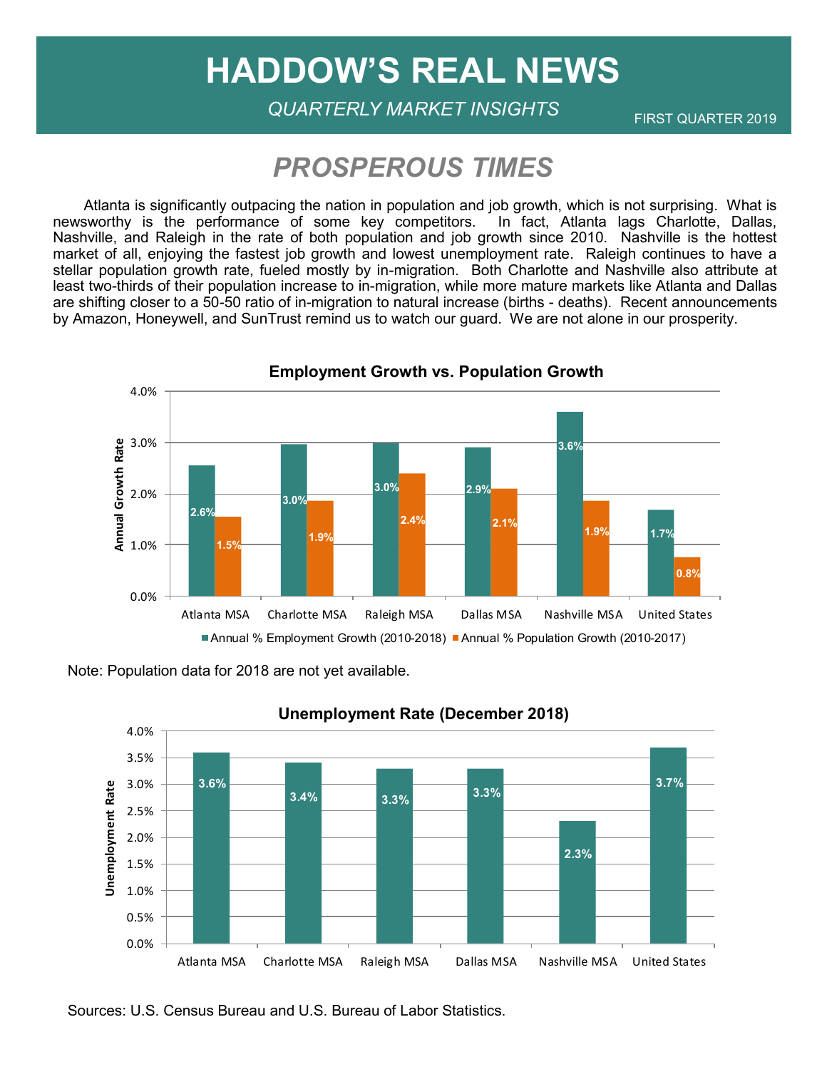# **HADDOW'S REAL NEWS**

FIRST QUARTER 2019 *QUARTERLY MARKET INSIGHTS*

## *PROSPEROUS TIMES*

 Atlanta is significantly outpacing the nation in population and job growth, which is not surprising. What is newsworthy is the performance of some key competitors. In fact, Atlanta lags Charlotte, Dallas, Nashville, and Raleigh in the rate of both population and job growth since 2010. Nashville is the hottest market of all, enjoying the fastest job growth and lowest unemployment rate. Raleigh continues to have a stellar population growth rate, fueled mostly by in-migration. Both Charlotte and Nashville also attribute at least two-thirds of their population increase to in-migration, while more mature markets like Atlanta and Dallas are shifting closer to a 50-50 ratio of in-migration to natural increase (births - deaths). Recent announcements by Amazon, Honeywell, and SunTrust remind us to watch our guard. We are not alone in our prosperity.



Note: Population data for 2018 are not yet available.



Sources: U.S. Census Bureau and U.S. Bureau of Labor Statistics.